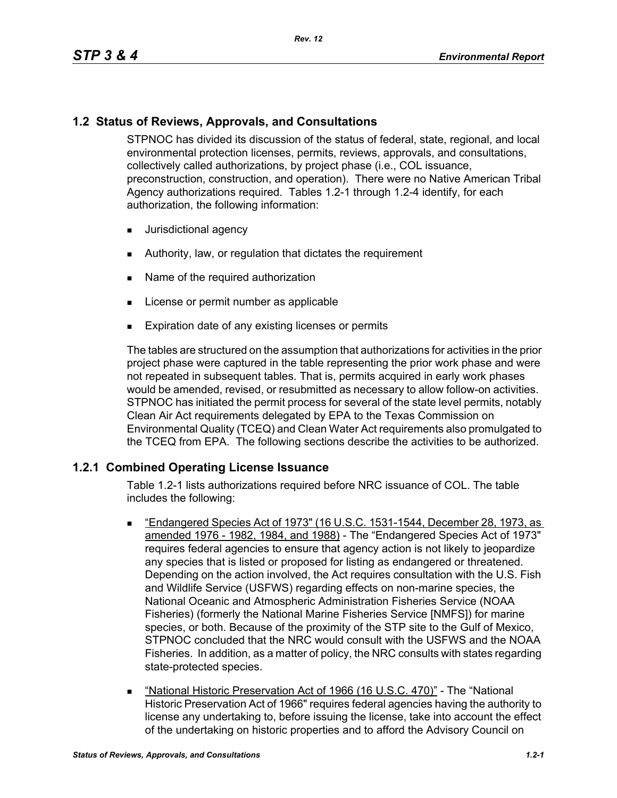## **1.2 Status of Reviews, Approvals, and Consultations**

STPNOC has divided its discussion of the status of federal, state, regional, and local environmental protection licenses, permits, reviews, approvals, and consultations, collectively called authorizations, by project phase (i.e., COL issuance, preconstruction, construction, and operation). There were no Native American Tribal Agency authorizations required. Tables 1.2-1 through 1.2-4 identify, for each authorization, the following information:

- **Jurisdictional agency**
- Authority, law, or regulation that dictates the requirement
- Name of the required authorization
- **License or permit number as applicable**
- **Expiration date of any existing licenses or permits**

The tables are structured on the assumption that authorizations for activities in the prior project phase were captured in the table representing the prior work phase and were not repeated in subsequent tables. That is, permits acquired in early work phases would be amended, revised, or resubmitted as necessary to allow follow-on activities. STPNOC has initiated the permit process for several of the state level permits, notably Clean Air Act requirements delegated by EPA to the Texas Commission on Environmental Quality (TCEQ) and Clean Water Act requirements also promulgated to the TCEQ from EPA. The following sections describe the activities to be authorized.

### **1.2.1 Combined Operating License Issuance**

Table 1.2-1 lists authorizations required before NRC issuance of COL. The table includes the following:

- "Endangered Species Act of 1973" (16 U.S.C. 1531-1544, December 28, 1973, as amended 1976 - 1982, 1984, and 1988) - The "Endangered Species Act of 1973" requires federal agencies to ensure that agency action is not likely to jeopardize any species that is listed or proposed for listing as endangered or threatened. Depending on the action involved, the Act requires consultation with the U.S. Fish and Wildlife Service (USFWS) regarding effects on non-marine species, the National Oceanic and Atmospheric Administration Fisheries Service (NOAA Fisheries) (formerly the National Marine Fisheries Service [NMFS]) for marine species, or both. Because of the proximity of the STP site to the Gulf of Mexico, STPNOC concluded that the NRC would consult with the USFWS and the NOAA Fisheries. In addition, as a matter of policy, the NRC consults with states regarding state-protected species.
- "National Historic Preservation Act of 1966 (16 U.S.C. 470)" The "National Historic Preservation Act of 1966" requires federal agencies having the authority to license any undertaking to, before issuing the license, take into account the effect of the undertaking on historic properties and to afford the Advisory Council on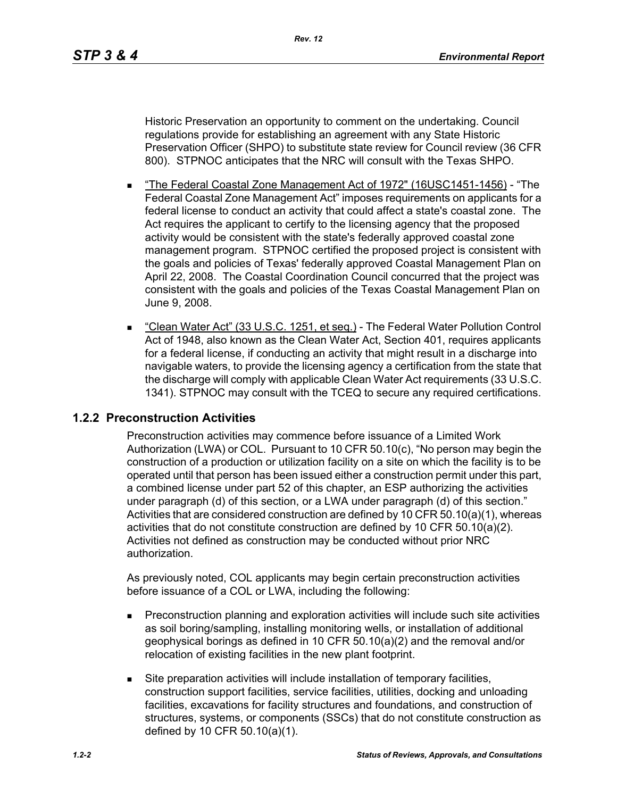Historic Preservation an opportunity to comment on the undertaking. Council regulations provide for establishing an agreement with any State Historic Preservation Officer (SHPO) to substitute state review for Council review (36 CFR 800). STPNOC anticipates that the NRC will consult with the Texas SHPO.

- The Federal Coastal Zone Management Act of 1972" (16USC1451-1456) "The Federal Coastal Zone Management Act" imposes requirements on applicants for a federal license to conduct an activity that could affect a state's coastal zone. The Act requires the applicant to certify to the licensing agency that the proposed activity would be consistent with the state's federally approved coastal zone management program. STPNOC certified the proposed project is consistent with the goals and policies of Texas' federally approved Coastal Management Plan on April 22, 2008. The Coastal Coordination Council concurred that the project was consistent with the goals and policies of the Texas Coastal Management Plan on June 9, 2008.
- "Clean Water Act" (33 U.S.C. 1251, et seg.) The Federal Water Pollution Control Act of 1948, also known as the Clean Water Act, Section 401, requires applicants for a federal license, if conducting an activity that might result in a discharge into navigable waters, to provide the licensing agency a certification from the state that the discharge will comply with applicable Clean Water Act requirements (33 U.S.C. 1341). STPNOC may consult with the TCEQ to secure any required certifications.

### **1.2.2 Preconstruction Activities**

Preconstruction activities may commence before issuance of a Limited Work Authorization (LWA) or COL. Pursuant to 10 CFR 50.10(c), "No person may begin the construction of a production or utilization facility on a site on which the facility is to be operated until that person has been issued either a construction permit under this part, a combined license under part 52 of this chapter, an ESP authorizing the activities under paragraph (d) of this section, or a LWA under paragraph (d) of this section." Activities that are considered construction are defined by 10 CFR 50.10(a)(1), whereas activities that do not constitute construction are defined by 10 CFR 50.10(a)(2). Activities not defined as construction may be conducted without prior NRC authorization.

As previously noted, COL applicants may begin certain preconstruction activities before issuance of a COL or LWA, including the following:

- **Preconstruction planning and exploration activities will include such site activities** as soil boring/sampling, installing monitoring wells, or installation of additional geophysical borings as defined in 10 CFR 50.10(a)(2) and the removal and/or relocation of existing facilities in the new plant footprint.
- Site preparation activities will include installation of temporary facilities, construction support facilities, service facilities, utilities, docking and unloading facilities, excavations for facility structures and foundations, and construction of structures, systems, or components (SSCs) that do not constitute construction as defined by 10 CFR 50.10(a)(1).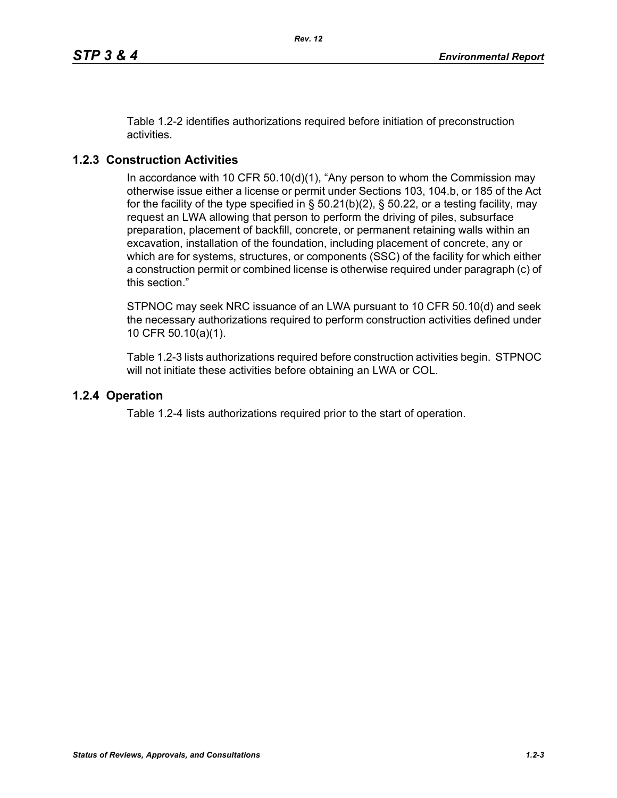Table 1.2-2 identifies authorizations required before initiation of preconstruction activities.

# **1.2.3 Construction Activities**

In accordance with 10 CFR 50.10(d)(1), "Any person to whom the Commission may otherwise issue either a license or permit under Sections 103, 104.b, or 185 of the Act for the facility of the type specified in  $\S$  50.21(b)(2),  $\S$  50.22, or a testing facility, may request an LWA allowing that person to perform the driving of piles, subsurface preparation, placement of backfill, concrete, or permanent retaining walls within an excavation, installation of the foundation, including placement of concrete, any or which are for systems, structures, or components (SSC) of the facility for which either a construction permit or combined license is otherwise required under paragraph (c) of this section."

STPNOC may seek NRC issuance of an LWA pursuant to 10 CFR 50.10(d) and seek the necessary authorizations required to perform construction activities defined under 10 CFR 50.10(a)(1).

Table 1.2-3 lists authorizations required before construction activities begin. STPNOC will not initiate these activities before obtaining an LWA or COL.

### **1.2.4 Operation**

Table 1.2-4 lists authorizations required prior to the start of operation.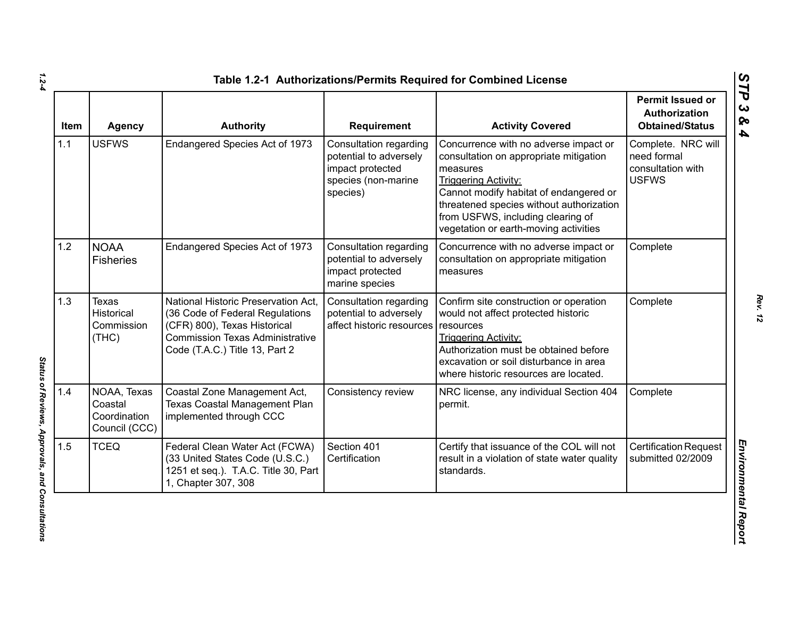| <b>Item</b> | <b>Agency</b>                                           | <b>Authority</b>                                                                                                                                                                   | <b>Requirement</b>                                                                                      | <b>Activity Covered</b>                                                                                                                                                                                                                                                                        | Permit Issued or<br>Authorization<br><b>Obtained/Status</b>            |
|-------------|---------------------------------------------------------|------------------------------------------------------------------------------------------------------------------------------------------------------------------------------------|---------------------------------------------------------------------------------------------------------|------------------------------------------------------------------------------------------------------------------------------------------------------------------------------------------------------------------------------------------------------------------------------------------------|------------------------------------------------------------------------|
| 1.1         | <b>USFWS</b>                                            | Endangered Species Act of 1973                                                                                                                                                     | Consultation regarding<br>potential to adversely<br>impact protected<br>species (non-marine<br>species) | Concurrence with no adverse impact or<br>consultation on appropriate mitigation<br>measures<br><b>Triggering Activity:</b><br>Cannot modify habitat of endangered or<br>threatened species without authorization<br>from USFWS, including clearing of<br>vegetation or earth-moving activities | Complete. NRC will<br>need formal<br>consultation with<br><b>USFWS</b> |
| 1.2         | <b>NOAA</b><br><b>Fisheries</b>                         | Endangered Species Act of 1973                                                                                                                                                     | <b>Consultation regarding</b><br>potential to adversely<br>impact protected<br>marine species           | Concurrence with no adverse impact or<br>consultation on appropriate mitigation<br>measures                                                                                                                                                                                                    | Complete                                                               |
| 1.3         | <b>Texas</b><br>Historical<br>Commission<br>(THC)       | National Historic Preservation Act,<br>(36 Code of Federal Regulations<br>(CFR) 800), Texas Historical<br><b>Commission Texas Administrative</b><br>Code (T.A.C.) Title 13, Part 2 | Consultation regarding<br>potential to adversely<br>affect historic resources                           | Confirm site construction or operation<br>would not affect protected historic<br>resources<br><b>Triggering Activity:</b><br>Authorization must be obtained before<br>excavation or soil disturbance in area<br>where historic resources are located.                                          | Complete                                                               |
| 1.4         | NOAA, Texas<br>Coastal<br>Coordination<br>Council (CCC) | Coastal Zone Management Act,<br><b>Texas Coastal Management Plan</b><br>implemented through CCC                                                                                    | Consistency review                                                                                      | NRC license, any individual Section 404<br>permit.                                                                                                                                                                                                                                             | Complete                                                               |
| 1.5         | <b>TCEQ</b>                                             | Federal Clean Water Act (FCWA)<br>(33 United States Code (U.S.C.)<br>1251 et seq.). T.A.C. Title 30, Part<br>1, Chapter 307, 308                                                   | Section 401<br>Certification                                                                            | Certify that issuance of the COL will not<br>result in a violation of state water quality<br>standards.                                                                                                                                                                                        | <b>Certification Request</b><br>submitted 02/2009                      |

Status of Reviews, Approvals, and Consultations *Status of Reviews, Approvals, and Consultations*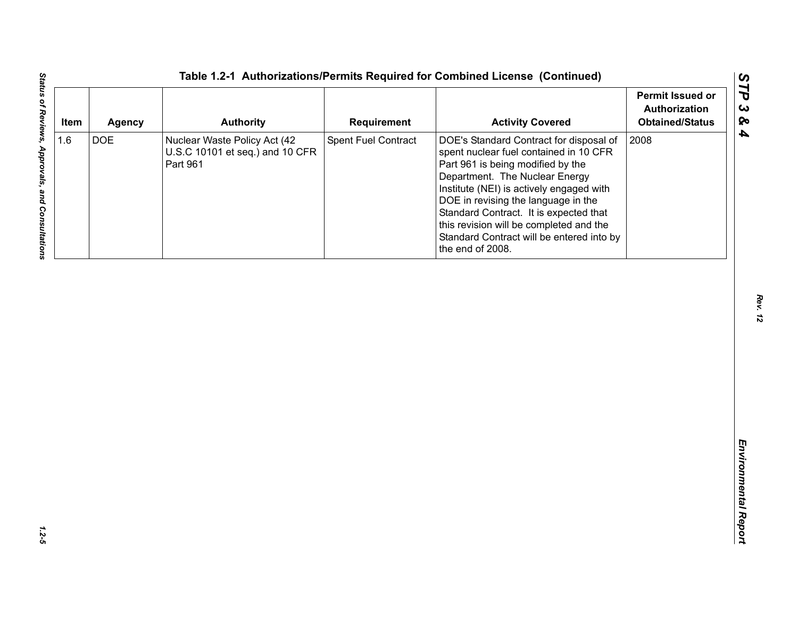| <b>DOE</b><br>Spent Fuel Contract<br>2008<br>Nuclear Waste Policy Act (42<br>DOE's Standard Contract for disposal of<br>U.S.C 10101 et seq.) and 10 CFR<br>spent nuclear fuel contained in 10 CFR<br>Part 961<br>Part 961 is being modified by the<br>Department. The Nuclear Energy<br>Institute (NEI) is actively engaged with | 1.6<br>DOE in revising the language in the |
|----------------------------------------------------------------------------------------------------------------------------------------------------------------------------------------------------------------------------------------------------------------------------------------------------------------------------------|--------------------------------------------|
| Standard Contract. It is expected that<br>this revision will be completed and the<br>Standard Contract will be entered into by<br>the end of 2008.                                                                                                                                                                               |                                            |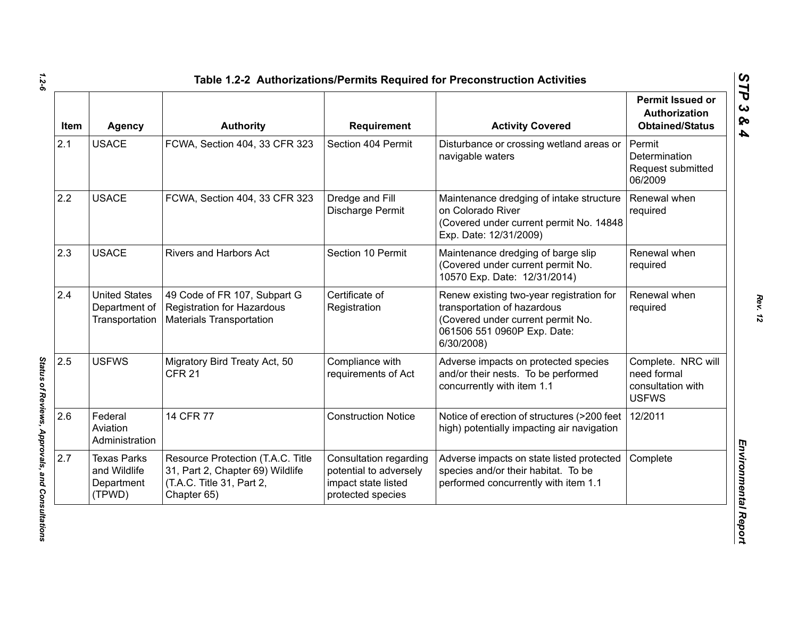| <b>Item</b> | <b>Agency</b>                                              | <b>Authority</b>                                                                                                  | Requirement                                                                                  | <b>Activity Covered</b>                                                                                                                                   | <b>Permit Issued or</b><br>Authorization<br><b>Obtained/Status</b>     |
|-------------|------------------------------------------------------------|-------------------------------------------------------------------------------------------------------------------|----------------------------------------------------------------------------------------------|-----------------------------------------------------------------------------------------------------------------------------------------------------------|------------------------------------------------------------------------|
| 2.1         | <b>USACE</b>                                               | FCWA, Section 404, 33 CFR 323                                                                                     | Section 404 Permit                                                                           | Disturbance or crossing wetland areas or<br>navigable waters                                                                                              | Permit<br>Determination<br>Request submitted<br>06/2009                |
| 2.2         | <b>USACE</b>                                               | FCWA, Section 404, 33 CFR 323                                                                                     | Dredge and Fill<br>Discharge Permit                                                          | Maintenance dredging of intake structure<br>on Colorado River<br>(Covered under current permit No. 14848<br>Exp. Date: 12/31/2009)                        | Renewal when<br>required                                               |
| 2.3         | <b>USACE</b>                                               | Rivers and Harbors Act                                                                                            | Section 10 Permit                                                                            | Maintenance dredging of barge slip<br>(Covered under current permit No.<br>10570 Exp. Date: 12/31/2014)                                                   | Renewal when<br>required                                               |
| 2.4         | <b>United States</b><br>Department of<br>Transportation    | 49 Code of FR 107, Subpart G<br><b>Registration for Hazardous</b><br><b>Materials Transportation</b>              | Certificate of<br>Registration                                                               | Renew existing two-year registration for<br>transportation of hazardous<br>(Covered under current permit No.<br>061506 551 0960P Exp. Date:<br>6/30/2008) | Renewal when<br>required                                               |
| 2.5         | <b>USFWS</b>                                               | Migratory Bird Treaty Act, 50<br><b>CFR 21</b>                                                                    | Compliance with<br>requirements of Act                                                       | Adverse impacts on protected species<br>and/or their nests. To be performed<br>concurrently with item 1.1                                                 | Complete. NRC will<br>need formal<br>consultation with<br><b>USFWS</b> |
| 2.6         | Federal<br>Aviation<br>Administration                      | 14 CFR 77                                                                                                         | <b>Construction Notice</b>                                                                   | Notice of erection of structures (>200 feet<br>high) potentially impacting air navigation                                                                 | 12/2011                                                                |
| 2.7         | <b>Texas Parks</b><br>and Wildlife<br>Department<br>(TPWD) | Resource Protection (T.A.C. Title<br>31, Part 2, Chapter 69) Wildlife<br>(T.A.C. Title 31, Part 2,<br>Chapter 65) | Consultation regarding<br>potential to adversely<br>impact state listed<br>protected species | Adverse impacts on state listed protected<br>species and/or their habitat. To be<br>performed concurrently with item 1.1                                  | Complete                                                               |

Status of Reviews, Approvals, and Consultations *Status of Reviews, Approvals, and Consultations*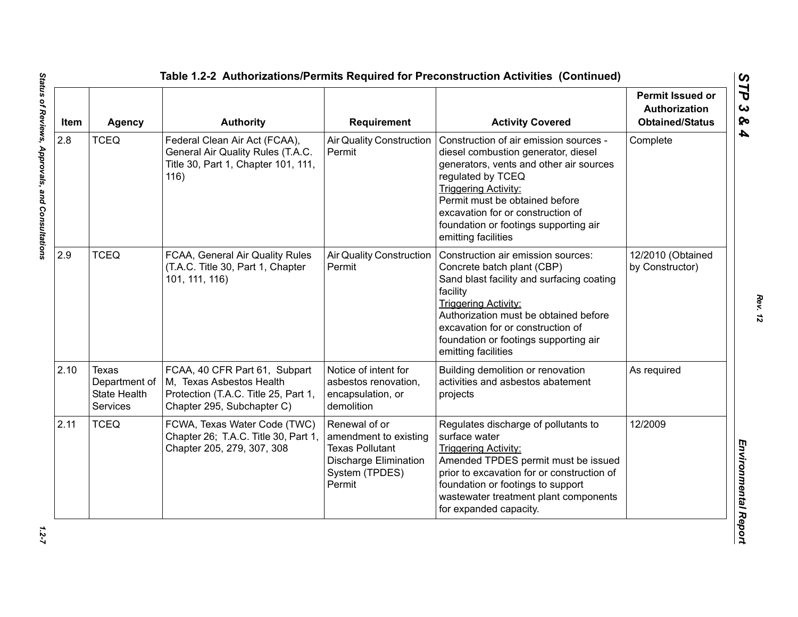| Item | <b>Agency</b>                                                    | <b>Authority</b>                                                                                                                | Requirement                                                                                                                  | <b>Activity Covered</b>                                                                                                                                                                                                                                                                                             | <b>Permit Issued or</b><br><b>Authorization</b><br><b>Obtained/Status</b> |
|------|------------------------------------------------------------------|---------------------------------------------------------------------------------------------------------------------------------|------------------------------------------------------------------------------------------------------------------------------|---------------------------------------------------------------------------------------------------------------------------------------------------------------------------------------------------------------------------------------------------------------------------------------------------------------------|---------------------------------------------------------------------------|
| 2.8  | <b>TCEQ</b>                                                      | Federal Clean Air Act (FCAA),<br>General Air Quality Rules (T.A.C.<br>Title 30, Part 1, Chapter 101, 111,<br>116)               | <b>Air Quality Construction</b><br>Permit                                                                                    | Construction of air emission sources -<br>diesel combustion generator, diesel<br>generators, vents and other air sources<br>regulated by TCEQ<br><b>Triggering Activity:</b><br>Permit must be obtained before<br>excavation for or construction of<br>foundation or footings supporting air<br>emitting facilities | Complete                                                                  |
| 2.9  | <b>TCEQ</b>                                                      | FCAA, General Air Quality Rules<br>(T.A.C. Title 30, Part 1, Chapter<br>101, 111, 116)                                          | <b>Air Quality Construction</b><br>Permit                                                                                    | Construction air emission sources:<br>Concrete batch plant (CBP)<br>Sand blast facility and surfacing coating<br>facility<br><b>Triggering Activity:</b><br>Authorization must be obtained before<br>excavation for or construction of<br>foundation or footings supporting air<br>emitting facilities              | 12/2010 (Obtained<br>by Constructor)                                      |
| 2.10 | Texas<br>Department of<br><b>State Health</b><br><b>Services</b> | FCAA, 40 CFR Part 61, Subpart<br>M, Texas Asbestos Health<br>Protection (T.A.C. Title 25, Part 1,<br>Chapter 295, Subchapter C) | Notice of intent for<br>asbestos renovation,<br>encapsulation, or<br>demolition                                              | Building demolition or renovation<br>activities and asbestos abatement<br>projects                                                                                                                                                                                                                                  | As required                                                               |
| 2.11 | <b>TCEQ</b>                                                      | FCWA, Texas Water Code (TWC)<br>Chapter 26; T.A.C. Title 30, Part 1,<br>Chapter 205, 279, 307, 308                              | Renewal of or<br>amendment to existing<br><b>Texas Pollutant</b><br><b>Discharge Elimination</b><br>System (TPDES)<br>Permit | Regulates discharge of pollutants to<br>surface water<br><b>Triggering Activity:</b><br>Amended TPDES permit must be issued<br>prior to excavation for or construction of<br>foundation or footings to support<br>wastewater treatment plant components<br>for expanded capacity.                                   | 12/2009                                                                   |

 $1.2 - 7$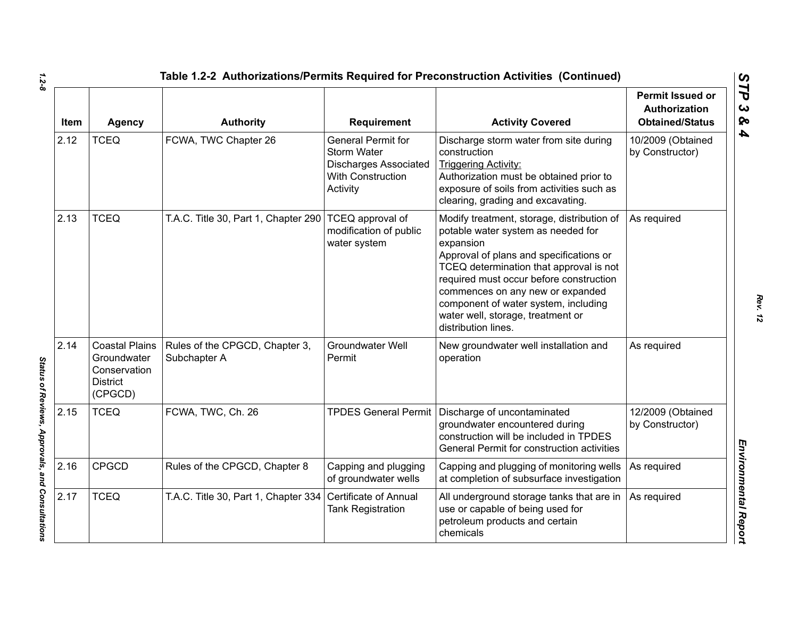| Item | <b>Agency</b>                                                                      | <b>Authority</b>                               | Requirement                                                                                                      | <b>Activity Covered</b>                                                                                                                                                                                                                                                                                                                                                | <b>Permit Issued or</b><br>Authorization<br><b>Obtained/Status</b> |
|------|------------------------------------------------------------------------------------|------------------------------------------------|------------------------------------------------------------------------------------------------------------------|------------------------------------------------------------------------------------------------------------------------------------------------------------------------------------------------------------------------------------------------------------------------------------------------------------------------------------------------------------------------|--------------------------------------------------------------------|
| 2.12 | <b>TCEQ</b>                                                                        | FCWA, TWC Chapter 26                           | General Permit for<br><b>Storm Water</b><br><b>Discharges Associated</b><br><b>With Construction</b><br>Activity | Discharge storm water from site during<br>construction<br><b>Triggering Activity:</b><br>Authorization must be obtained prior to<br>exposure of soils from activities such as<br>clearing, grading and excavating.                                                                                                                                                     | 10/2009 (Obtained<br>by Constructor)                               |
| 2.13 | <b>TCEQ</b>                                                                        | T.A.C. Title 30, Part 1, Chapter 290           | TCEQ approval of<br>modification of public<br>water system                                                       | Modify treatment, storage, distribution of<br>potable water system as needed for<br>expansion<br>Approval of plans and specifications or<br>TCEQ determination that approval is not<br>required must occur before construction<br>commences on any new or expanded<br>component of water system, including<br>water well, storage, treatment or<br>distribution lines. | As required                                                        |
| 2.14 | <b>Coastal Plains</b><br>Groundwater<br>Conservation<br><b>District</b><br>(CPGCD) | Rules of the CPGCD, Chapter 3,<br>Subchapter A | <b>Groundwater Well</b><br>Permit                                                                                | New groundwater well installation and<br>operation                                                                                                                                                                                                                                                                                                                     | As required                                                        |
| 2.15 | <b>TCEQ</b>                                                                        | FCWA, TWC, Ch. 26                              |                                                                                                                  | TPDES General Permit   Discharge of uncontaminated<br>groundwater encountered during<br>construction will be included in TPDES<br>General Permit for construction activities                                                                                                                                                                                           | 12/2009 (Obtained<br>by Constructor)                               |
| 2.16 | <b>CPGCD</b>                                                                       | Rules of the CPGCD, Chapter 8                  | Capping and plugging<br>of groundwater wells                                                                     | Capping and plugging of monitoring wells<br>at completion of subsurface investigation                                                                                                                                                                                                                                                                                  | As required                                                        |
| 2.17 | <b>TCEQ</b>                                                                        | T.A.C. Title 30, Part 1, Chapter 334           | Certificate of Annual<br><b>Tank Registration</b>                                                                | All underground storage tanks that are in<br>use or capable of being used for<br>petroleum products and certain<br>chemicals                                                                                                                                                                                                                                           | As required                                                        |

Status of Reviews, Approvals, and Consultations *Status of Reviews, Approvals, and Consultations*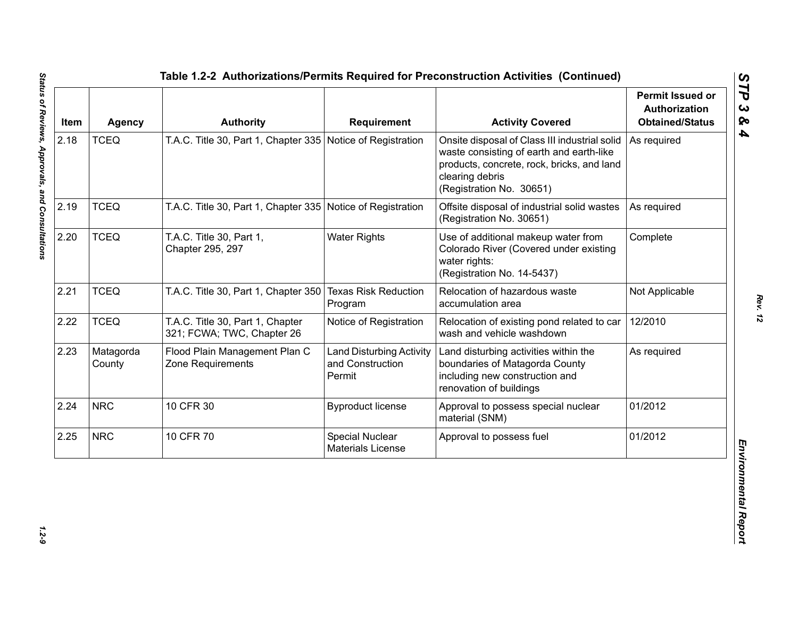| Item | <b>Agency</b>       | <b>Authority</b>                                               | Requirement                                                   | <b>Activity Covered</b>                                                                                                                                                                | <b>Permit Issued or</b><br><b>Authorization</b><br><b>Obtained/Status</b> |
|------|---------------------|----------------------------------------------------------------|---------------------------------------------------------------|----------------------------------------------------------------------------------------------------------------------------------------------------------------------------------------|---------------------------------------------------------------------------|
| 2.18 | <b>TCEQ</b>         | T.A.C. Title 30, Part 1, Chapter 335 Notice of Registration    |                                                               | Onsite disposal of Class III industrial solid<br>waste consisting of earth and earth-like<br>products, concrete, rock, bricks, and land<br>clearing debris<br>(Registration No. 30651) | As required                                                               |
| 2.19 | <b>TCEQ</b>         | T.A.C. Title 30, Part 1, Chapter 335 Notice of Registration    |                                                               | Offsite disposal of industrial solid wastes<br>(Registration No. 30651)                                                                                                                | As required                                                               |
| 2.20 | <b>TCEQ</b>         | T.A.C. Title 30, Part 1,<br>Chapter 295, 297                   | <b>Water Rights</b>                                           | Use of additional makeup water from<br>Colorado River (Covered under existing<br>water rights:<br>(Registration No. 14-5437)                                                           | Complete                                                                  |
| 2.21 | <b>TCEQ</b>         | T.A.C. Title 30, Part 1, Chapter 350                           | <b>Texas Risk Reduction</b><br>Program                        | Relocation of hazardous waste<br>accumulation area                                                                                                                                     | Not Applicable                                                            |
| 2.22 | <b>TCEQ</b>         | T.A.C. Title 30, Part 1, Chapter<br>321; FCWA; TWC, Chapter 26 | Notice of Registration                                        | Relocation of existing pond related to car<br>wash and vehicle washdown                                                                                                                | 12/2010                                                                   |
| 2.23 | Matagorda<br>County | Flood Plain Management Plan C<br>Zone Requirements             | <b>Land Disturbing Activity</b><br>and Construction<br>Permit | Land disturbing activities within the<br>boundaries of Matagorda County<br>including new construction and<br>renovation of buildings                                                   | As required                                                               |
| 2.24 | <b>NRC</b>          | 10 CFR 30                                                      | <b>Byproduct license</b>                                      | Approval to possess special nuclear<br>material (SNM)                                                                                                                                  | 01/2012                                                                   |
| 2.25 | <b>NRC</b>          | 10 CFR 70                                                      | Special Nuclear<br><b>Materials License</b>                   | Approval to possess fuel                                                                                                                                                               | 01/2012                                                                   |

 $1.2 - 9$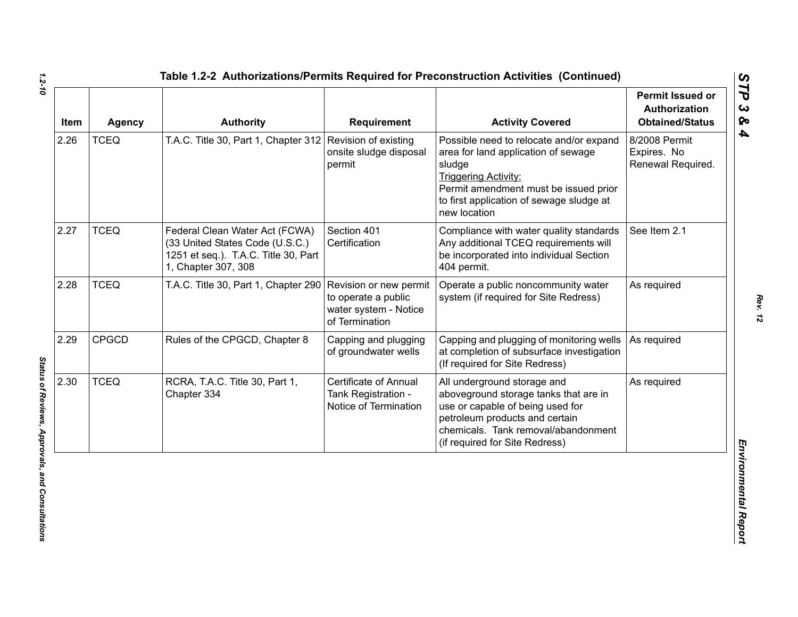| Item | <b>Agency</b> | <b>Authority</b>                                                                                                                 | <b>Requirement</b>                                                                       | <b>Activity Covered</b>                                                                                                                                                                                                      | <b>Permit Issued or</b><br><b>Authorization</b><br><b>Obtained/Status</b> |
|------|---------------|----------------------------------------------------------------------------------------------------------------------------------|------------------------------------------------------------------------------------------|------------------------------------------------------------------------------------------------------------------------------------------------------------------------------------------------------------------------------|---------------------------------------------------------------------------|
| 2.26 | <b>TCEQ</b>   | T.A.C. Title 30, Part 1, Chapter 312 Revision of existing                                                                        | onsite sludge disposal<br>permit                                                         | Possible need to relocate and/or expand<br>area for land application of sewage<br>sludge<br><b>Triggering Activity:</b><br>Permit amendment must be issued prior<br>to first application of sewage sludge at<br>new location | 8/2008 Permit<br>Expires. No<br>Renewal Required.                         |
| 2.27 | <b>TCEQ</b>   | Federal Clean Water Act (FCWA)<br>(33 United States Code (U.S.C.)<br>1251 et seq.). T.A.C. Title 30, Part<br>1, Chapter 307, 308 | Section 401<br>Certification                                                             | Compliance with water quality standards<br>Any additional TCEQ requirements will<br>be incorporated into individual Section<br>404 permit.                                                                                   | See Item 2.1                                                              |
| 2.28 | <b>TCEQ</b>   | T.A.C. Title 30, Part 1, Chapter 290                                                                                             | Revision or new permit<br>to operate a public<br>water system - Notice<br>of Termination | Operate a public noncommunity water<br>system (if required for Site Redress)                                                                                                                                                 | As required                                                               |
| 2.29 | <b>CPGCD</b>  | Rules of the CPGCD, Chapter 8                                                                                                    | Capping and plugging<br>of groundwater wells                                             | Capping and plugging of monitoring wells<br>at completion of subsurface investigation<br>(If required for Site Redress)                                                                                                      | As required                                                               |
| 2.30 | <b>TCEQ</b>   | RCRA, T.A.C. Title 30, Part 1,<br>Chapter 334                                                                                    | <b>Certificate of Annual</b><br>Tank Registration -<br>Notice of Termination             | All underground storage and<br>aboveground storage tanks that are in<br>use or capable of being used for<br>petroleum products and certain<br>chemicals. Tank removal/abandonment<br>(if required for Site Redress)          | As required                                                               |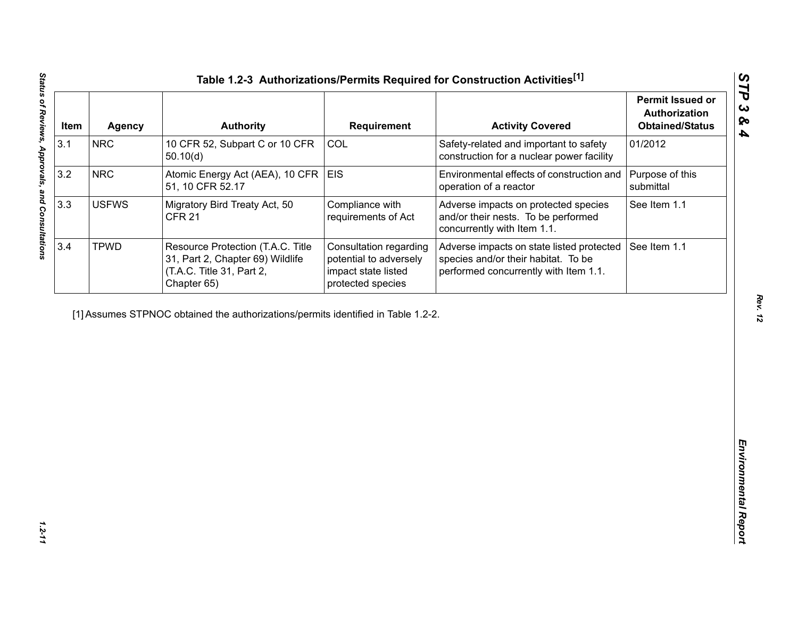| Item | <b>Agency</b> | <b>Authority</b>                                                                                                  | <b>Requirement</b>                                                                           | <b>Activity Covered</b>                                                                                                   | <b>Permit Issued or</b><br>Authorization<br><b>Obtained/Status</b> |
|------|---------------|-------------------------------------------------------------------------------------------------------------------|----------------------------------------------------------------------------------------------|---------------------------------------------------------------------------------------------------------------------------|--------------------------------------------------------------------|
| 3.1  | <b>NRC</b>    | 10 CFR 52, Subpart C or 10 CFR<br>50.10(d)                                                                        | COL                                                                                          | Safety-related and important to safety<br>construction for a nuclear power facility                                       | 01/2012                                                            |
| 3.2  | <b>NRC</b>    | Atomic Energy Act (AEA), 10 CFR<br>51, 10 CFR 52.17                                                               | <b>EIS</b>                                                                                   | Environmental effects of construction and<br>operation of a reactor                                                       | Purpose of this<br>submittal                                       |
| 3.3  | <b>USFWS</b>  | Migratory Bird Treaty Act, 50<br><b>CFR 21</b>                                                                    | Compliance with<br>requirements of Act                                                       | Adverse impacts on protected species<br>and/or their nests. To be performed<br>concurrently with Item 1.1.                | See Item 1.1                                                       |
| 3.4  | <b>TPWD</b>   | Resource Protection (T.A.C. Title<br>31, Part 2, Chapter 69) Wildlife<br>(T.A.C. Title 31, Part 2,<br>Chapter 65) | Consultation regarding<br>potential to adversely<br>impact state listed<br>protected species | Adverse impacts on state listed protected<br>species and/or their habitat. To be<br>performed concurrently with Item 1.1. | See Item 1.1                                                       |
|      |               |                                                                                                                   |                                                                                              |                                                                                                                           |                                                                    |
|      |               |                                                                                                                   |                                                                                              |                                                                                                                           |                                                                    |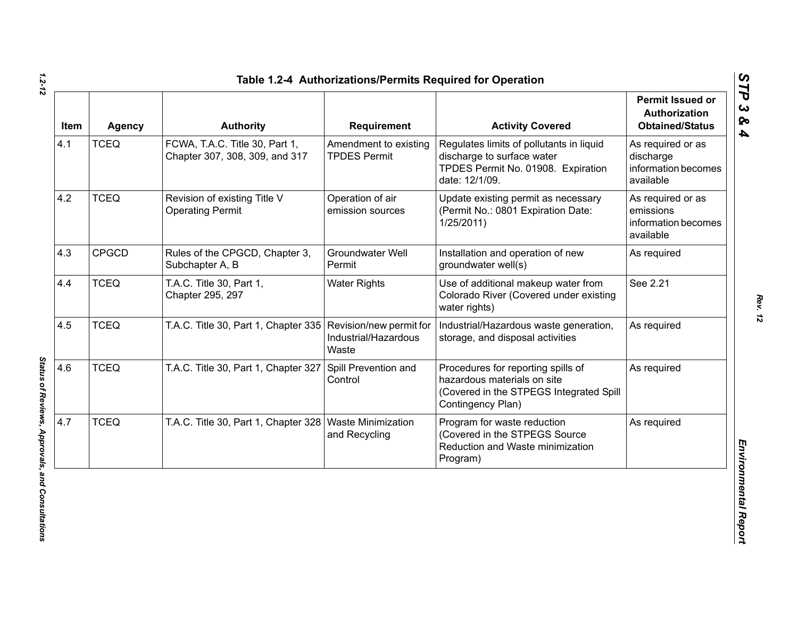| Item | <b>Agency</b> | <b>Authority</b>                                                 | Requirement                                  | <b>Activity Covered</b>                                                                                                           | <b>Permit Issued or</b><br>Authorization<br><b>Obtained/Status</b> |
|------|---------------|------------------------------------------------------------------|----------------------------------------------|-----------------------------------------------------------------------------------------------------------------------------------|--------------------------------------------------------------------|
| 4.1  | <b>TCEQ</b>   | FCWA, T.A.C. Title 30, Part 1,<br>Chapter 307, 308, 309, and 317 | Amendment to existing<br><b>TPDES Permit</b> | Regulates limits of pollutants in liquid<br>discharge to surface water<br>TPDES Permit No. 01908. Expiration<br>date: 12/1/09.    | As required or as<br>discharge<br>information becomes<br>available |
| 4.2  | <b>TCEQ</b>   | Revision of existing Title V<br><b>Operating Permit</b>          | Operation of air<br>emission sources         | Update existing permit as necessary<br>(Permit No.: 0801 Expiration Date:<br>1/25/2011                                            | As required or as<br>emissions<br>information becomes<br>available |
| 4.3  | <b>CPGCD</b>  | Rules of the CPGCD, Chapter 3,<br>Subchapter A, B                | Groundwater Well<br>Permit                   | Installation and operation of new<br>groundwater well(s)                                                                          | As required                                                        |
| 4.4  | <b>TCEQ</b>   | T.A.C. Title 30, Part 1,<br>Chapter 295, 297                     | <b>Water Rights</b>                          | Use of additional makeup water from<br>Colorado River (Covered under existing<br>water rights)                                    | See 2.21                                                           |
| 4.5  | <b>TCEQ</b>   | T.A.C. Title 30, Part 1, Chapter 335 Revision/new permit for     | Industrial/Hazardous<br>Waste                | Industrial/Hazardous waste generation,<br>storage, and disposal activities                                                        | As required                                                        |
| 4.6  | <b>TCEQ</b>   | T.A.C. Title 30, Part 1, Chapter 327                             | Spill Prevention and<br>Control              | Procedures for reporting spills of<br>hazardous materials on site<br>(Covered in the STPEGS Integrated Spill<br>Contingency Plan) | As required                                                        |
| 4.7  | <b>TCEQ</b>   | T.A.C. Title 30, Part 1, Chapter 328   Waste Minimization        | and Recycling                                | Program for waste reduction<br>(Covered in the STPEGS Source<br>Reduction and Waste minimization<br>Program)                      | As required                                                        |

*STP 3 & 4*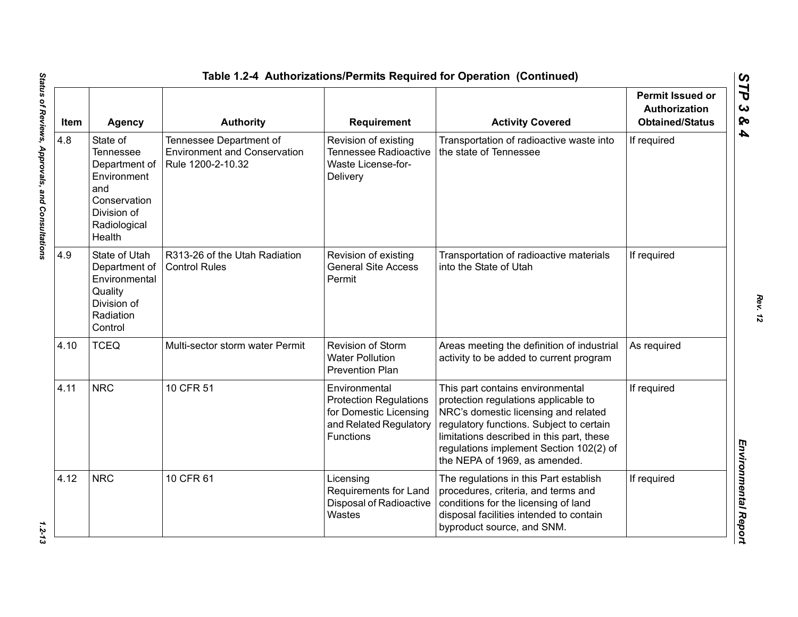| Item | <b>Agency</b>                                                                                                                | <b>Authority</b>                                                                    | <b>Requirement</b>                                                                                                     | <b>Activity Covered</b>                                                                                                                                                                                                                                                               | <b>Permit Issued or</b><br><b>Authorization</b><br><b>Obtained/Status</b> |
|------|------------------------------------------------------------------------------------------------------------------------------|-------------------------------------------------------------------------------------|------------------------------------------------------------------------------------------------------------------------|---------------------------------------------------------------------------------------------------------------------------------------------------------------------------------------------------------------------------------------------------------------------------------------|---------------------------------------------------------------------------|
| 4.8  | State of<br><b>Tennessee</b><br>Department of<br>Environment<br>and<br>Conservation<br>Division of<br>Radiological<br>Health | Tennessee Department of<br><b>Environment and Conservation</b><br>Rule 1200-2-10.32 | Revision of existing<br><b>Tennessee Radioactive</b><br>Waste License-for-<br>Delivery                                 | Transportation of radioactive waste into<br>the state of Tennessee                                                                                                                                                                                                                    | If required                                                               |
| 4.9  | State of Utah<br>Department of<br>Environmental<br>Quality<br>Division of<br>Radiation<br>Control                            | R313-26 of the Utah Radiation<br><b>Control Rules</b>                               | Revision of existing<br><b>General Site Access</b><br>Permit                                                           | Transportation of radioactive materials<br>into the State of Utah                                                                                                                                                                                                                     | If required                                                               |
| 4.10 | <b>TCEQ</b>                                                                                                                  | Multi-sector storm water Permit                                                     | Revision of Storm<br><b>Water Pollution</b><br><b>Prevention Plan</b>                                                  | Areas meeting the definition of industrial<br>activity to be added to current program                                                                                                                                                                                                 | As required                                                               |
| 4.11 | <b>NRC</b>                                                                                                                   | 10 CFR 51                                                                           | Environmental<br><b>Protection Regulations</b><br>for Domestic Licensing<br>and Related Regulatory<br><b>Functions</b> | This part contains environmental<br>protection regulations applicable to<br>NRC's domestic licensing and related<br>regulatory functions. Subject to certain<br>limitations described in this part, these<br>regulations implement Section 102(2) of<br>the NEPA of 1969, as amended. | If required                                                               |
| 4.12 | <b>NRC</b>                                                                                                                   | 10 CFR 61                                                                           | Licensing<br>Requirements for Land<br>Disposal of Radioactive<br>Wastes                                                | The regulations in this Part establish<br>procedures, criteria, and terms and<br>conditions for the licensing of land<br>disposal facilities intended to contain<br>byproduct source, and SNM.                                                                                        | If required                                                               |

 $1.2 - 13$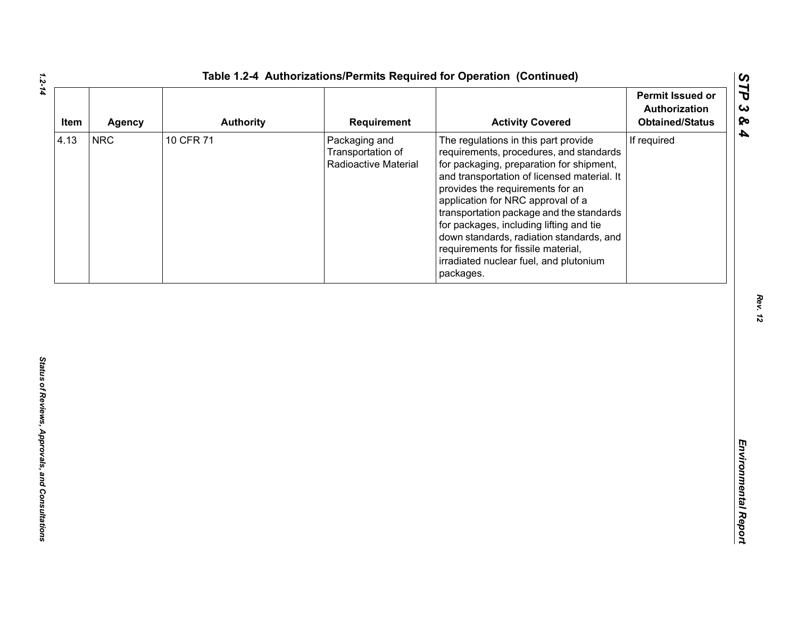| Item | <b>Agency</b> | <b>Authority</b> | Requirement                                                | <b>Activity Covered</b>                                                                                                                                                                                                                                                                                                                                                                                                                                                             | <b>Permit Issued or</b><br>Authorization<br><b>Obtained/Status</b> |
|------|---------------|------------------|------------------------------------------------------------|-------------------------------------------------------------------------------------------------------------------------------------------------------------------------------------------------------------------------------------------------------------------------------------------------------------------------------------------------------------------------------------------------------------------------------------------------------------------------------------|--------------------------------------------------------------------|
| 4.13 | <b>NRC</b>    | 10 CFR 71        | Packaging and<br>Transportation of<br>Radioactive Material | The regulations in this part provide<br>requirements, procedures, and standards<br>for packaging, preparation for shipment,<br>and transportation of licensed material. It<br>provides the requirements for an<br>application for NRC approval of a<br>transportation package and the standards<br>for packages, including lifting and tie<br>down standards, radiation standards, and<br>requirements for fissile material,<br>irradiated nuclear fuel, and plutonium<br>packages. | If required                                                        |
|      |               |                  |                                                            |                                                                                                                                                                                                                                                                                                                                                                                                                                                                                     |                                                                    |
|      |               |                  |                                                            |                                                                                                                                                                                                                                                                                                                                                                                                                                                                                     |                                                                    |